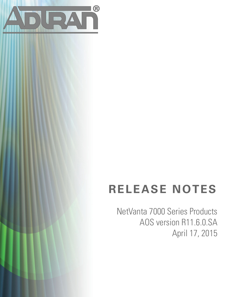

# **RELEASE NOTES**

NetVanta 7000 Series Products AOS version R11.6.0.SA April 17, 2015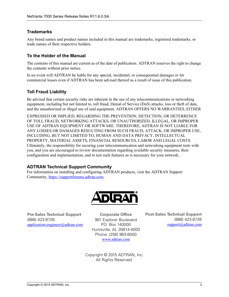## **Trademarks**

Any brand names and product names included in this manual are trademarks, registered trademarks, or trade names of their respective holders.

## **To the Holder of the Manual**

The contents of this manual are current as of the date of publication. ADTRAN reserves the right to change the contents without prior notice.

In no event will ADTRAN be liable for any special, incidental, or consequential damages or for commercial losses even if ADTRAN has been advised thereof as a result of issue of this publication.

#### **Toll Fraud Liability**

Be advised that certain security risks are inherent in the use of any telecommunications or networking equipment, including but not limited to, toll fraud, Denial of Service (DoS) attacks, loss or theft of data, and the unauthorized or illegal use of said equipment. ADTRAN OFFERS NO WARRANTIES, EITHER

EXPRESSED OR IMPLIED, REGARDING THE PREVENTION, DETECTION, OR DETERRENCE OF TOLL FRAUD, NETWORKING ATTACKS, OR UNAUTHORIZED, ILLEGAL, OR IMPROPER USE OF ADTRAN EQUIPMENT OR SOFTWARE. THEREFORE, ADTRAN IS NOT LIABLE FOR ANY LOSSES OR DAMAGES RESULTING FROM SUCH FRAUD, ATTACK, OR IMPROPER USE, INCLUDING, BUT NOT LIMITED TO, HUMAN AND DATA PRIVACY, INTELLECTUAL PROPERTY, MATERIAL ASSETS, FINANCIAL RESOURCES, LABOR AND LEGAL COSTS. Ultimately, the responsibility for securing your telecommunication and networking equipment rests with you, and you are encouraged to review documentation regarding available security measures, their configuration and implementation, and to test such features as is necessary for your network.

#### **ADTRAN Technical Support Community**

For information on installing and configuring ADTRAN products, visit the ADTRAN Support Community, https://supportforums.adtran.com.



**Pre-Sales Technical Support** (888) 423-8726 application.engineer@adtran.com

**Corporate Office** 901 Explorer Boulevard P.O. Box 140000 Huntsville, AL 35814-4000 Phone: (256) 963-8000 www.adtran.com

**Post-Sales Technical Support** (888) 423-8726 support@adtran.com

Copyright © 2015 ADTRAN, Inc. All Rights Reserved.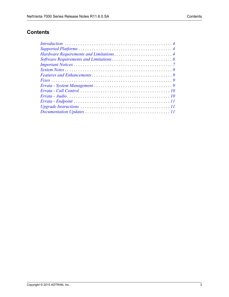## **Contents**

| $Introduction \dots \dots \dots \dots \dots \dots \dots \dots \dots \dots \dots \dots \dots \dots \dots \dots$ |  |
|----------------------------------------------------------------------------------------------------------------|--|
|                                                                                                                |  |
|                                                                                                                |  |
|                                                                                                                |  |
|                                                                                                                |  |
|                                                                                                                |  |
|                                                                                                                |  |
|                                                                                                                |  |
|                                                                                                                |  |
|                                                                                                                |  |
|                                                                                                                |  |
|                                                                                                                |  |
|                                                                                                                |  |
|                                                                                                                |  |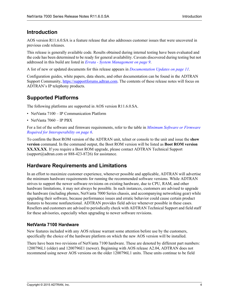## <span id="page-3-1"></span>**Introduction**

AOS version R11.6.0.SA is a feature release that also addresses customer issues that were uncovered in previous code releases.

This release is generally available code. Results obtained during internal testing have been evaluated and the code has been determined to be ready for general availability. Caveats discovered during testing but not addressed in this build are listed in *[Errata - System Management on page 9](#page-8-0)*.

A list of new or updated documents for this release appears in *[Documentation Updates on page 11](#page-10-0)*.

Configuration guides, white papers, data sheets, and other documentation can be found in the ADTRAN Support Community, https://supportforums.adtran.com. The contents of these release notes will focus on ADTRAN's IP telephony products.

# <span id="page-3-0"></span>**Supported Platforms**

The following platforms are supported in AOS version R11.6.0.SA.

- NetVanta 7100 IP Communication Platform
- NetVanta 7060 IP PBX

For a list of the software and firmware requirements, refer to the table in *[Minimum Software or Firmware](#page-5-1)  [Required for Interoperability on page 6](#page-5-1)*.

To confirm the Boot ROM version of the ADTRAN unit, telnet or console to the unit and issue the **show version** command. In the command output, the Boot ROM version will be listed as **Boot ROM version XX.XX.XX**. If you require a Boot ROM upgrade, please contact ADTRAN Technical Support (support $@$ adtran.com or 888-423-8726) for assistance.

## <span id="page-3-2"></span>**Hardware Requirements and Limitations**

In an effort to maximize customer experience, whenever possible and applicable, ADTRAN will advertise the minimum hardware requirements for running the recommended software versions. While ADTRAN strives to support the newer software revisions on existing hardware, due to CPU, RAM, and other hardware limitations, it may not always be possible. In such instances, customers are advised to upgrade the hardware (including phones, NetVanta 7000 Series chassis, and accompanying networking gear) while upgrading their software, because performance issues and erratic behavior could cause certain product features to become nonfunctional. ADTRAN provides field advice whenever possible in these cases. Resellers and customers are advised to periodically check with ADTRAN Technical Support and field staff for these advisories, especially when upgrading to newer software revisions.

#### **NetVanta 7100 Hardware**

New features included with any AOS release warrant some attention before use by the customers, specifically the choice of the hardware platform on which the new AOS version will be installed.

There have been two revisions of NetVanta 7100 hardware. These are denoted by different part numbers: 1200796L1 (older) and 1200796E1 (newer). Beginning with AOS release A2.04, ADTRAN does not recommend using newer AOS versions on the older 1200796L1 units. These units continue to be field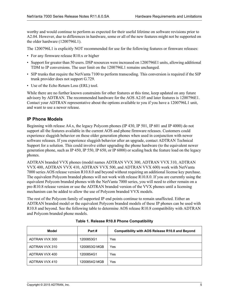worthy and would continue to perform as expected for their useful lifetime on software revisions prior to A2.04. However, due to differences in hardware, some or all of the new features might not be supported on the older hardware (1200796L1).

The 1200796L1 is explicitly NOT recommended for use for the following features or firmware releases:

- For any firmware release R10.x or higher
- Support for greater than 50 users. DSP resources were increased on 1200796E1 units, allowing additional TDM to IP conversions. The user limit on the 1200796L1 remains unchanged.
- SIP trunks that require the NetVanta 7100 to perform transcoding. This conversion is required if the SIP trunk provider does not support G.729.
- Use of the Echo Return Loss (ERL) tool.

While there are no further known constraints for other features at this time, keep updated on any future advisory by ADTRAN. The recommended hardware for the AOS A2.05 and later features is 1200796E1. Contact your ADTRAN representative about the options available to you if you have a 1200796L1 unit, and want to use a newer release.

#### **IP Phone Models**

Beginning with release A4.x, the legacy Polycom phones (IP 430, IP 501, IP 601 and IP 4000) do not support all the features available in the current AOS and phone firmware releases. Customers could experience sluggish behavior on these older generation phones when used in conjunction with newer software releases. If you experience sluggish behavior after an upgrade, contact ADTRAN Technical Support for a solution. This could involve either upgrading the phone hardware (to the equivalent newer generation phone, such as IP 450, IP 550, IP 650, or IP 6000) or scaling back the feature load on the legacy phones.

ADTRAN branded VVX phones (model names ADTRAN VVX 300, ADTRAN VVX 310, ADTRAN VVX 400, ADTRAN VVX 410, ADTRAN VVX 500, and ADTRAN VVX 600) work with NetVanta 7000 series AOS release version R10.8.0 and beyond without requiring an additional license key purchase. The equivalent Polycom branded phones will not work with release R10.8.0. If you are currently using the equivalent Polycom branded phones with the NetVanta 7000 series, you will need to either remain on a pre-R10.8 release version or use the ADTRAN branded version of the VVX phones until a licensing mechanism can be added to allow the use of Polycom branded VVX models.

The rest of the Polycom family of supported IP end points continue to remain unaffected. Either an ADTRAN branded model or the equivalent Polycom branded models of these IP phones can be used with R10.8 and beyond. See the following table to determine AOS release R10.8 compatibility with ADTRAN and Polycom branded phone models.

| Model          | Part#        | <b>Compatibility with AOS Release R10.8 and Beyond</b> |
|----------------|--------------|--------------------------------------------------------|
| ADTRAN VVX 300 | 1200853G1    | Yes                                                    |
| ADTRAN VVX 310 | 1200853G1#GB | Yes                                                    |
| ADTRAN VVX 400 | 1200854G1    | Yes                                                    |
| ADTRAN VVX 410 | 1200854G1#GB | Yes                                                    |

**Table 1. Release R10.8 Phone Compatibility**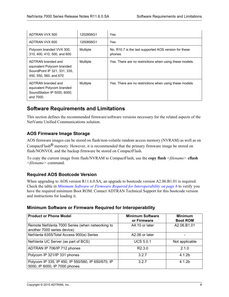| ADTRAN VVX 500                                                                                             | 1202856G1 | Yes                                                              |
|------------------------------------------------------------------------------------------------------------|-----------|------------------------------------------------------------------|
| ADTRAN VVX 600                                                                                             | 1200856G1 | Yes                                                              |
| Polycom branded VVX 300,<br>310, 400, 410, 500, and 600                                                    | Multiple  | No. R10.7 is the last supported AOS version for these<br>phones. |
| ADTRAN branded and<br>equivalent Polycom branded<br>SoundPoint IP 321, 331, 335,<br>450, 550, 560, and 670 | Multiple  | Yes. There are no restrictions when using these models.          |
| ADTRAN branded and<br>equivalent Polycom branded<br>SoundStation IP 5000, 6000,<br>and 7000.               | Multiple  | Yes. There are no restrictions when using these models.          |

## <span id="page-5-0"></span>**Software Requirements and Limitations**

This section defines the recommended firmware/software versions necessary for the related aspects of the NetVanta Unified Communications solution.

#### **AOS Firmware Image Storage**

AOS firmware images can be stored on flash/non-volatile random access memory (NVRAM) as well as on CompactFlash® memory. However, it is recommended that the primary firmware image be stored on flash/NONVOL and the backup firmware be stored on CompactFlash.

To copy the current image from flash/NVRAM to CompactFlash, use the **copy flash** *<filename>* **cflash** *<filename>* command.

#### **Required AOS Bootcode Version**

When upgrading to AOS version R11.6.0.SA, an upgrade to bootcode version A2.06.B1.01 is required. Check the table in *[Minimum Software or Firmware Required for Interoperability on page 6](#page-5-1)* to verify you have the required minimum Boot ROM. Contact ADTRAN Technical Support for this bootcode version and instructions for loading it.

#### <span id="page-5-1"></span>**Minimum Software or Firmware Required for Interoperability**

| <b>Product or Phone Model</b>                                                       | <b>Minimum Software</b><br>or Firmware | <b>Minimum</b><br><b>Boot ROM</b> |
|-------------------------------------------------------------------------------------|----------------------------------------|-----------------------------------|
| Remote NetVanta 7000 Series (when networking to<br>another 7000 series device)      | A4.10 or later                         | A2.06.B1.01                       |
| NetVanta 6355/Total Access 900(e) Series                                            | A2.06 or later                         |                                   |
| NetVanta UC Server (as part of BCS)                                                 | <b>UCS 5.0.1</b>                       | Not applicable                    |
| ADTRAN IP 706/IP 712 phones                                                         | R <sub>2</sub> .3.0                    | 2.1.0                             |
| Polycom IP 321/IP 331 phones                                                        | 3.2.7                                  | 4.1.2 <sub>b</sub>                |
| Polycom IP 335, IP 450, IP 550/560, IP 650/670, IP<br>5000, IP 6000, IP 7000 phones | 3.2.7                                  | 4.1.2b                            |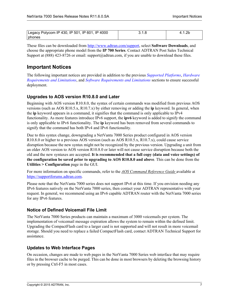| Legacy Polycom IP 430, IP 501, IP 601, IP 4000 | J. I.C |  |
|------------------------------------------------|--------|--|
| phones                                         |        |  |

These files can be downloaded from<http://www.adtran.com/support>, select **Software Downloads**, and choose the appropriate phone model from the **IP 700 Series**. Contact ADTRAN Post Sales Technical Support at (888) 423-8726 or email: support@adtran.com, if you are unable to download these files.

## <span id="page-6-0"></span>**Important Notices**

The following important notices are provided in addition to the previous *[Supported Platforms](#page-3-0)*, *[Hardware](#page-3-2)  [Requirements and Limitations](#page-3-2)*, and *[Software Requirements and Limitations](#page-5-0)* sections to ensure successful deployment.

#### **Upgrades to AOS version R10.8.0 and Later**

Beginning with AOS version R10.8.0, the syntax of certain commands was modified from previous AOS versions (such as AOS R10.5.x, R10.7.x) by either removing or adding the **ip** keyword. In general, when the **ip** keyword appears in a command, it signifies that the command is only applicable to IPv4 functionality. As more features introduce IPv6 support, the **ipv6** keyword is added to signify the command is only applicable to IPv6 functionality. The **ip** keyword has been removed from several commands to signify that the command has both IPv4 and IPv6 functionality.

Due to this syntax change, downgrading a NetVanta 7000 Series product configured in AOS version R10.8.0 or higher to a previous AOS version (such as AOS R10.5.x, R10.7.x), could cause service disruption because the new syntax might not be recognized by the previous version. Upgrading a unit from an older AOS version to AOS version R10.8.0 or later will not cause service disruption because both the old and the new syntaxes are accepted. **It is recommended that a full copy (data and voice settings) of the configuration be saved prior to upgrading to AOS R10.8.0 and above**. This can be done from the **Utilities > Configuration** page in the GUI.

For more information on specific commands, refer to the *AOS Command Reference Guide* available at <https://supportforums.adtran.com>.

Please note that the NetVanta 7000 series does not support IPv6 at this time. If you envision needing any IPv6 features natively on the NetVanta 7000 series, then contact your ADTRAN representative with your request. In general, we recommend using an IPv6 capable ADTRAN router with the NetVanta 7000 series for any IPv6 features.

#### **Notice of Defined Voicemail File Limit**

The NetVanta 7000 Series products can maintain a maximum of 3000 voicemails per system. The implementation of voicemail message expiration allows the system to remain within the defined limit. Upgrading the CompactFlash card to a larger card is not supported and will not result in more voicemail storage. Should you need to replace a failed CompactFlash card, contact ADTRAN Technical Support for assistance.

#### **Updates to Web Interface Pages**

On occasion, changes are made to web pages in the NetVanta 7000 Series web interface that may require files in the browser cache to be purged. This can be done in most browsers by deleting the browsing history or by pressing Ctrl-F5 in most cases.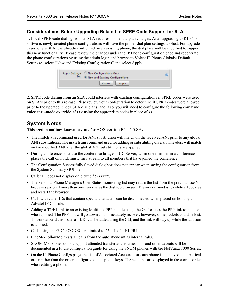#### **Considerations Before Upgrading Related to SPRE Code Support for SLA**

1. Local SPRE code dialing from an SLA requires phone dial plan changes. After upgrading to R10.6.0 software, newly created phone configurations will have the proper dial plan settings applied. For upgrade cases where SLA was already configured on an existing phone, the dial plans will be modified to support this new functionality. Please review the changes under the IP Phone configuration page and regenerate the phone configurations by using the admin login and browse to Voice>IP Phone Globals>Default Settings>, select "New and Existing Configurations" and select Apply.

| To: | Apply Settings C New Configurations Only<br><sup>9</sup> New and Existing Configurations | 63 |
|-----|------------------------------------------------------------------------------------------|----|
|     | Cancel  <br>Apply                                                                        |    |

2. SPRE code dialing from an SLA could interfere with existing configurations if SPRE codes were used on SLA's prior to this release. Plese review your configuration to determine if SPRE codes were allowed prior to the upgrade (check SLA dial plans) and if so, you will need to configure the following command **voice spre-mode override <\*xx>** using the appropriate codes in place of **xx**.

## <span id="page-7-0"></span>**System Notes**

**This section outlines known caveats for** AOS version R11.6.0.SA**.**

- The **match ani** command used for ANI substitution will match on the received ANI prior to any global ANI substitutions. The **match ani** command used for adding or substituting diversion headers will match on the modified ANI after the global ANI substitutions are applied.
- During conferences that use the conference bridge in UC Server, when one member in a conference places the call on hold, music may stream to all members that have joined the conference.
- The Configuration Successfully Saved dialog box does not appear when saving the configuration from the System Summary GUI menu.
- Caller ID does not display on pickup \*52xxxx\*.
- The Personal Phone Manager's User Status monitoring list may return the list from the previous user's browser session if more than one user shares the desktop browser. The workaround is to delete all cookies and restart the browser.
- Calls with caller IDs that contain special characters can be disconnected when placed on hold by an Advatel IP Console.
- Adding a T1/E1 link to an existing Multilink PPP bundle using the GUI causes the PPP link to bounce when applied. The PPP link will go down and immediately recover; however, some packets could be lost. To work around this issue, a T1/E1 can be added using the CLI, and the link will stay up while the addition is applied.
- Calls using the G.729 CODEC are limited to 25 calls for E1 PRI.
- FindMe-FollowMe treats all calls from the auto attendant as internal calls.
- SNOM M3 phones do not support attended transfer at this time. This and other caveats will be documented in a future configuration guide for using the SNOM phones with the NetVanta 7000 Series.
- On the IP Phone Configs page, the list of Associated Accounts for each phone is displayed in numerical order rather than the order configured on the phone keys. The accounts are displayed in the correct order when editing a phone.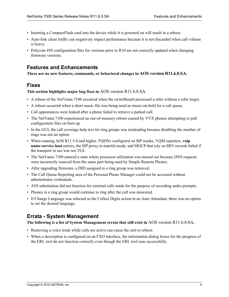- Inserting a CompactFlash card into the device while it is powered on will result in a reboot.
- Auto-link client traffic can negatively impact performance because it is not discarded when call volume is heavy.
- Polycom 450 configuration files for versions prior to R10 are not correctly updated when changing firmware versions.

## **Features and Enhancements**

**There are no new features, commands, or behavioral changes in AOS version R11.6.0.SA.**

## <span id="page-8-1"></span>**Fixes**

**This section highlights major bug fixes in** AOS version R11.6.0.SA.

- A reboot of the NetVanta 7100 occurred when the switchboard processed a refer without a refer target.
- A reboot occurred when a short music file was being used as music-on-hold for a call queue.
- Call appearances were leaked after a phone failed to retrieve a parked call.
- The NetVanta 7100 experienced an out-of-memory reboot caused by VVX phones attempting to pull configuration files on boot up.
- In the GUI, the call coverage help text for ring groups was misleading because disabling the number of rings was not an option
- When running AOS R11.5.0 and higher, FQDNs configured on SIP trunks, VQM reporters, **voip name-service host** entries, the SIP proxy in stateful mode, and MGCP that rely on SRV records failed if the transport in use was not TLS.
- The NetVanta 7100 entered a state where processor utilization was maxed out because DNS requests were incorrectly sourced from the same port being used by Simple Remote Phones.
- After upgrading firmware, a DID assigned to a ring group was removed.
- The Call Queue Reporting area of the Personal Phone Manager could not be accessed without administrator credentials.
- ANI substitution did not function for external calls made for the purpose of recording audio prompts.
- Phones in a ring group would continue to ring after the call was answered.
- If Change Language was selected as the Collect Digits action in an Auto Attendant, there was no option to set the desired language.

## <span id="page-8-0"></span>**Errata - System Management**

#### **The following is a list of System Management errata that still exist in** AOS version R11.6.0.SA**.**

- Removing a voice trunk while calls are active can cause the unit to reboot.
- When a description is configured on an FXO interface, the information dialog boxes for the progress of the ERL tool do not function correctly even though the ERL tool runs successfully.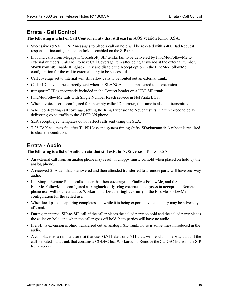## <span id="page-9-0"></span>**Errata - Call Control**

**The following is a list of Call Control errata that still exist in** AOS version R11.6.0.SA**.**

- Successive reINVITE SIP messages to place a call on hold will be rejected with a 400 Bad Request response if incoming music-on-hold is enabled on the SIP trunk.
- Inbound calls from Megapath (Broadsoft) SIP trunks fail to be delivered by FindMe-FollowMe to external numbers. Calls roll to next Call Coverage item after being answered at the external number. **Workaround:** Enable Ringback Only and disable the Accept option in the FindMe-FollowMe configuration for the call to external party to be successful.
- Call coverage set to internal will still allow calls to be routed out an external trunk.
- Caller ID may not be correctly sent when an SLA/SCA call is transferred to an extension.
- transport=TCP is incorrectly included in the Contact header on a UDP SIP trunk.
- FindMe-FollowMe fails with Single Number Reach service in NetVanta BCS.
- When a voice user is configured for an empty caller ID number, the name is also not transmitted.
- When configuring call coverage, setting the Ring Extension to Never results in a three-second delay delivering voice traffic to the ADTRAN phone.
- SLA accept/reject templates do not affect calls sent using the SLA.
- T.38 FAX call tests fail after T1 PRI loss and system timing shifts. **Workaround:** A reboot is required to clear the condition.

# <span id="page-9-1"></span>**Errata - Audio**

**The following is a list of Audio errata that still exist in** AOS version R11.6.0.SA.

- An external call from an analog phone may result in choppy music on hold when placed on hold by the analog phone.
- A received SLA call that is answered and then attended transferred to a remote party will have one-way audio.
- If a Simple Remote Phone calls a user that then coverages to FindMe-FollowMe, and the FindMe-FollowMe is configured as **ringback only**, **ring external**, and **press to accept**, the Remote phone user will not hear audio. Workaround: Disable r**ingback-only** in the FindMe-FollowMe configuration for the called user.
- When local packet capturing completes and while it is being exported, voice quality may be adversely affected.
- During an internal SIP-to-SIP call, if the caller places the called party on hold and the called party places the caller on hold, and when the caller goes off hold, both parties will have no audio.
- If a SIP is extension is blind transferred out an analog FXO trunk, noise is sometimes introduced in the audio.
- A call placed to a remote user that that uses G.711 ulaw or G.711 alaw will result in one-way audio if the call is routed out a trunk that contains a CODEC list. Workaround: Remove the CODEC list from the SIP trunk account.